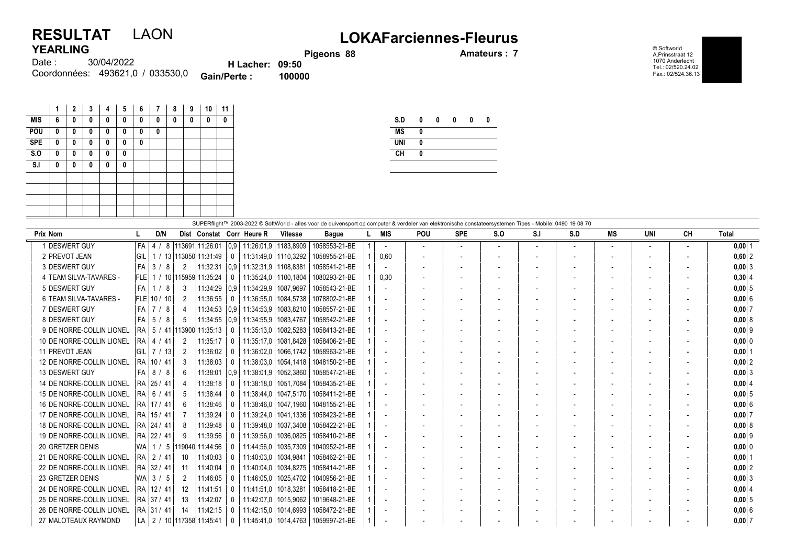## RESULTAT LAON LOKAFarciennes-Fleurus YEARLING

Pigeons 88 **Amateurs : 7** 

© Softworld A.Prinsstraat 12 1070 Anderlecht Tel.: 02/520.24.02 Fax.: 02/524.36.13

| 1 LAI 1111 V |                                  |                        |        |
|--------------|----------------------------------|------------------------|--------|
| Date : :     | 30/04/2022                       | <b>H</b> Lacher: 09:50 |        |
|              | Coordonnées: 493621,0 / 033530,0 | <b>Gain/Perte:</b>     | 100000 |

|            | 1 | $\mathbf{2}$ | 3 | 4 | 5 | 6 | 7 | 8 | 9 | 10 | 11 |
|------------|---|--------------|---|---|---|---|---|---|---|----|----|
| <b>MIS</b> | 6 | 0            | 0 | 0 | 0 | 0 | 0 | 0 | 0 | 0  | 0  |
| POU        | 0 | 0            | 0 | 0 | 0 | 0 | 0 |   |   |    |    |
| <b>SPE</b> | 0 | 0            | 0 | 0 | 0 | 0 |   |   |   |    |    |
| S.0        | 0 | 0            | 0 | 0 | 0 |   |   |   |   |    |    |
| S.I        | 0 | 0            | 0 | 0 | 0 |   |   |   |   |    |    |
|            |   |              |   |   |   |   |   |   |   |    |    |
|            |   |              |   |   |   |   |   |   |   |    |    |
|            |   |              |   |   |   |   |   |   |   |    |    |
|            |   |              |   |   |   |   |   |   |   |    |    |

|            | 0 | 0 | 0 | 0 | 0 |
|------------|---|---|---|---|---|
| <b>MS</b>  | Λ |   |   |   |   |
| <b>UNI</b> | O |   |   |   |   |
| CН         | Λ |   |   |   |   |

| SUPERflight™ 2003-2022 © SoftWorld - alles voor de duivensport op computer & verdeler van elektronische constateersystemen Tipes - Mobile: 0490 19 08 70 |      |                   |                |                                 |              |                              |                        |               |  |                          |                          |                          |         |     |     |           |                          |                          |              |
|----------------------------------------------------------------------------------------------------------------------------------------------------------|------|-------------------|----------------|---------------------------------|--------------|------------------------------|------------------------|---------------|--|--------------------------|--------------------------|--------------------------|---------|-----|-----|-----------|--------------------------|--------------------------|--------------|
| <b>Prix Nom</b>                                                                                                                                          |      | D/N               |                |                                 |              | Dist Constat Corr Heure R    | <b>Vitesse</b>         | <b>Bague</b>  |  | MIS                      | POU                      | <b>SPE</b>               | $S_{0}$ | S.I | S.D | <b>MS</b> | UNI                      | CH                       | <b>Total</b> |
| 1 DESWERT GUY                                                                                                                                            | FA I | $\vert$ 4 $\vert$ | 8              | 113691 11:26:01                 | 0.9          |                              | 11:26:01.9   1183.8909 | 1058553-21-BE |  |                          | $\overline{\phantom{a}}$ | $\overline{\phantom{a}}$ |         |     |     |           | $\overline{\phantom{a}}$ | $\overline{\phantom{a}}$ | $0.00$   1   |
| 2 PREVOT JEAN                                                                                                                                            | GIL  |                   |                | 1 / 13 113050 11:31:49          | $\mathbf{0}$ |                              | 11:31:49,0   1110,3292 | 1058955-21-BE |  | 0.60                     | $\overline{\phantom{a}}$ |                          |         |     |     |           |                          |                          | $0,60$  2    |
| 3 DESWERT GUY                                                                                                                                            | FA   | 3/                | - 8<br>2       | 11:32:31                        |              | 0.9   11:32:31.9   1108.8381 |                        | 1058541-21-BE |  |                          | $\overline{\phantom{a}}$ | $\overline{\phantom{a}}$ |         |     |     |           |                          | $\overline{\phantom{a}}$ | $0,00$ 3     |
| 4 TEAM SILVA-TAVARES -                                                                                                                                   |      |                   |                | FLE 1 / 10 115959 11:35:24      | $\mathbf{0}$ |                              | 11:35:24.0   1100.1804 | 1080293-21-BE |  | 0,30                     | $\overline{\phantom{a}}$ |                          |         |     |     |           | $\blacksquare$           |                          | $0,30$ 4     |
| 5 DESWERT GUY                                                                                                                                            | FA I | 1/8<br>-1         | 3              | 11:34:29                        | 0.9          | 11:34:29,9                   | 1087.9697              | 1058543-21-BE |  |                          | $\overline{\phantom{a}}$ |                          |         |     |     |           | $\blacksquare$           |                          | 0,0015       |
| 6 TEAM SILVA-TAVARES -                                                                                                                                   |      | FLE 10 / 10       | 2              | 11:36:55                        | $\Omega$     | 11:36:55.0                   | 1084.5738              | 1078802-21-BE |  |                          | $\overline{\phantom{a}}$ |                          |         |     |     |           |                          |                          | $0.00$ 6     |
| 7 DESWERT GUY                                                                                                                                            |      | $FA$   7 / 8      | Δ              | 11:34:53                        | 0.9          | 11:34:53.9                   | 1083.8210              | 1058557-21-BE |  | $\overline{\phantom{a}}$ | $\overline{\phantom{a}}$ |                          |         |     |     |           |                          |                          | $0.00$ 7     |
| 8 DESWERT GUY                                                                                                                                            |      | $FA$ 5 / 8        | 5              | 11:34:55                        | 0.9          | 11:34:55.9                   | 1083.4767              | 1058542-21-BE |  |                          | $\overline{\phantom{a}}$ |                          |         |     |     |           |                          | $\overline{\phantom{a}}$ | 0.0018       |
| 9 DE NORRE-COLLIN LIONEL                                                                                                                                 |      |                   |                | RA   5 / 41   113900   11:35:13 | $\mathbf{0}$ | 11:35:13.0                   | 1082.5283              | 1058413-21-BE |  |                          |                          |                          |         |     |     |           |                          |                          | $0.00$  9    |
| 10 DE NORRE-COLLIN LIONEL                                                                                                                                |      | RA   4 / 41       | 2              | 11:35:17                        | 0            | 11:35:17.0                   | 1081.8428              | 1058406-21-BE |  |                          | $\overline{\phantom{a}}$ |                          |         |     |     |           |                          | $\overline{\phantom{a}}$ | 0.00 0       |
| 11 PREVOT JEAN                                                                                                                                           | GIL  | 7 / 13            | $\mathfrak{D}$ | 11:36:02                        | $\mathbf{0}$ | 11:36:02.0                   | 1066,1742              | 1058963-21-BE |  |                          | $\overline{\phantom{a}}$ |                          |         |     |     |           | $\overline{\phantom{0}}$ |                          | $0,00$   1   |
| 12 DE NORRE-COLLIN LIONEL                                                                                                                                |      | RA 10 / 41        | 3              | 11:38:03                        | $\mathbf{0}$ | 11:38:03.0                   | 1054.1418              | 1048150-21-BE |  |                          | $\overline{\phantom{a}}$ | $\overline{\phantom{a}}$ |         |     |     |           | $\overline{\phantom{a}}$ | $\overline{\phantom{a}}$ | $0,00$ 2     |
| 13 DESWERT GUY                                                                                                                                           |      | $FA$   8 / 8      |                | 11:38:01                        | 0.9          | 11:38:01.9                   | 1052.3860              | 1058547-21-BE |  | $\overline{\phantom{a}}$ | $\overline{\phantom{a}}$ | $\overline{\phantom{a}}$ |         |     |     |           | $\blacksquare$           | $\overline{\phantom{a}}$ | $0,00$ 3     |
| 14 DE NORRE-COLLIN LIONEL                                                                                                                                |      | RA 25 / 41        |                | 11:38:18                        | $\mathbf{0}$ | 11:38:18.0                   | 1051.7084              | 1058435-21-BE |  |                          | $\overline{\phantom{a}}$ |                          |         |     |     |           |                          |                          | $0,00$ 4     |
| 15 DE NORRE-COLLIN LIONEL                                                                                                                                |      | RA 6 / 41         | 5              | 11:38:44                        | $\Omega$     | 11:38:44.0                   | 1047.5170              | 1058411-21-BE |  |                          | $\overline{\phantom{a}}$ |                          |         |     |     |           |                          |                          | $0,00$ 5     |
| 16 DE NORRE-COLLIN LIONEL                                                                                                                                |      | RA   17 / 41      | 6              | 11:38:46                        | $\mathbf{0}$ | 11:38:46.0                   | 1047.1960              | 1048155-21-BE |  |                          |                          |                          |         |     |     |           |                          |                          | 0.00 6       |
| 17 DE NORRE-COLLIN LIONEL                                                                                                                                |      | RA 15 / 41        |                | 11:39:24                        | $\mathbf{0}$ | 11:39:24.0                   | 1041.1336              | 1058423-21-BE |  | $\overline{a}$           | $\overline{\phantom{a}}$ |                          |         |     |     |           | $\overline{\phantom{a}}$ |                          | $0,00$ 7     |
| 18 DE NORRE-COLLIN LIONEL                                                                                                                                |      | RA 24 / 41        | 8              | 11:39:48                        | $\mathbf{0}$ | 11:39:48.0                   | 1037.3408              | 1058422-21-BE |  |                          | $\overline{\phantom{a}}$ |                          |         |     |     |           |                          |                          | 0,008        |
| 19 DE NORRE-COLLIN LIONEL                                                                                                                                |      | RA   22 / 41      | 9              | 11:39:56                        | $\mathbf{0}$ | 11:39:56.0                   | 1036.0825              | 1058410-21-BE |  |                          | $\blacksquare$           |                          |         |     |     |           | $\blacksquare$           |                          | $0,00$ 9     |
| 20 GRETZER DENIS                                                                                                                                         | WA I |                   |                | $1 / 5$  119040   11:44:56      | $\Omega$     | 11:44:56.0                   | 1035,7309              | 1040952-21-BE |  |                          |                          |                          |         |     |     |           |                          |                          | $0,00$ 0     |
| 21 DE NORRE-COLLIN LIONEL                                                                                                                                |      | RA 2 / 41         | 10             | 11:40:03                        | $\mathbf{0}$ | 11:40:03.0                   | 1034.9841              | 1058462-21-BE |  |                          | $\overline{\phantom{0}}$ | $\overline{\phantom{a}}$ |         |     |     |           | $\blacksquare$           |                          | $0,00$  1    |
| 22 DE NORRE-COLLIN LIONEL                                                                                                                                |      | RA 32 / 41        | 11             | 11:40:04                        | $\mathbf{0}$ | 11:40:04.0                   | 1034,8275              | 1058414-21-BE |  |                          | $\overline{\phantom{a}}$ |                          |         |     |     |           | $\blacksquare$           |                          | $0,00$ 2     |
| 23 GRETZER DENIS                                                                                                                                         |      | WA $3/5$          | 2              | 11:46:05                        | $\Omega$     | 11:46:05.0                   | 1025,4702              | 1040956-21-BE |  |                          |                          |                          |         |     |     |           |                          |                          | $0,00$ 3     |
| 24 DE NORRE-COLLIN LIONEL                                                                                                                                |      | RA 12 / 41        | 12             | 11:41:51                        | $\mathbf{0}$ | 11:41:51.0                   | 1018,3281              | 1058418-21-BE |  |                          | $\overline{\phantom{a}}$ | $\overline{\phantom{a}}$ |         |     |     |           | $\blacksquare$           | $\overline{\phantom{a}}$ | $0,00$ 4     |
| 25 DE NORRE-COLLIN LIONEL                                                                                                                                |      | RA 37 / 41        | 13             | 11:42:07                        | $\Omega$     | 11:42:07.0                   | 1015,9062              | 1019648-21-BE |  |                          | $\overline{\phantom{a}}$ |                          |         |     |     |           | $\blacksquare$           |                          | 0,0015       |
| 26 DE NORRE-COLLIN LIONEL                                                                                                                                |      | RA   31 / 41      | 14             | 11:42:15                        | $\mathbf{0}$ | 11:42:15.0                   | 1014,6993              | 1058472-21-BE |  |                          | $\overline{\phantom{a}}$ |                          |         |     |     |           |                          |                          | 0,00 6       |
| 27 MALOTEAUX RAYMOND                                                                                                                                     |      |                   |                | LA   2 / 10 117358 11:45:41     | $\mathbf{0}$ | 11:45:41.0                   | 1014,4763              | 1059997-21-BE |  |                          |                          |                          |         |     |     |           |                          |                          | $0,00$ 7     |